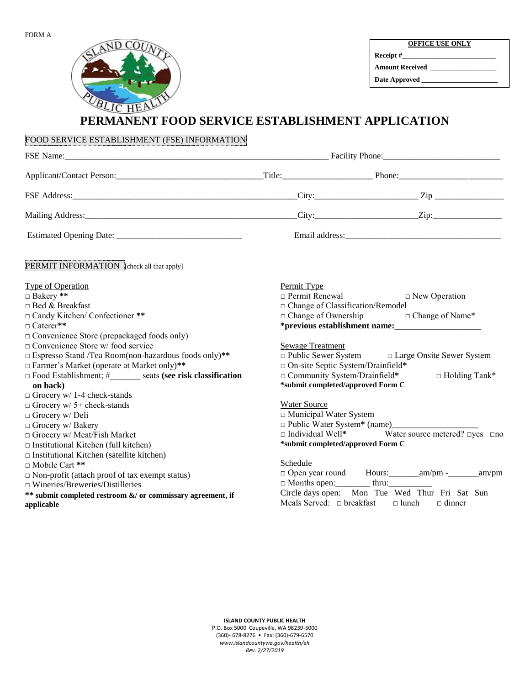

**Receipt #\_\_\_\_\_\_\_\_\_\_\_\_\_\_\_\_\_\_\_\_\_\_\_\_\_\_\_ Amount Received \_\_\_\_\_\_\_\_\_\_\_\_\_\_\_\_\_\_\_** 

**Date Approved \_\_\_\_\_\_\_\_\_\_\_\_\_\_\_\_\_\_\_\_\_\_** 

## **PERMANENT FOOD SERVICE ESTABLISHMENT APPLICATION**

| FOOD SERVICE ESTABLISHMENT (FSE) INFORMATION                                                                                                                                                                                                                                                                                                                                                                                                                   |                                      |                                                                                                                                                                                                                                                         |  |
|----------------------------------------------------------------------------------------------------------------------------------------------------------------------------------------------------------------------------------------------------------------------------------------------------------------------------------------------------------------------------------------------------------------------------------------------------------------|--------------------------------------|---------------------------------------------------------------------------------------------------------------------------------------------------------------------------------------------------------------------------------------------------------|--|
|                                                                                                                                                                                                                                                                                                                                                                                                                                                                |                                      |                                                                                                                                                                                                                                                         |  |
|                                                                                                                                                                                                                                                                                                                                                                                                                                                                |                                      |                                                                                                                                                                                                                                                         |  |
|                                                                                                                                                                                                                                                                                                                                                                                                                                                                |                                      |                                                                                                                                                                                                                                                         |  |
|                                                                                                                                                                                                                                                                                                                                                                                                                                                                |                                      |                                                                                                                                                                                                                                                         |  |
|                                                                                                                                                                                                                                                                                                                                                                                                                                                                |                                      |                                                                                                                                                                                                                                                         |  |
| PERMIT INFORMATION [check all that apply]                                                                                                                                                                                                                                                                                                                                                                                                                      |                                      |                                                                                                                                                                                                                                                         |  |
| <b>Type of Operation</b><br>Bakery **<br>□ Bed & Breakfast<br>□ Candy Kitchen/ Confectioner **<br>□ Caterer**                                                                                                                                                                                                                                                                                                                                                  | Permit Type<br>$\Box$ Permit Renewal | $\Box$ New Operation<br>□ Change of Classification/Remodel<br>□ Change of Ownership □ Change of Name*<br>*previous establishment name:                                                                                                                  |  |
| $\Box$ Convenience Store (prepackaged foods only)<br>□ Convenience Store w/ food service<br>$\Box$ Espresso Stand /Tea Room(non-hazardous foods only)**<br>□ Farmer's Market (operate at Market only)**<br>$\Box$ Food Establishment; # seats (see risk classification<br>on back)                                                                                                                                                                             | Sewage Treatment                     | □ Public Sewer System □ Large Onsite Sewer System<br>$\Box$ On-site Septic System/Drainfield*<br>□ Community System/Drainfield*<br>$\Box$ Holding Tank*<br>*submit completed/approved Form C                                                            |  |
| $\Box$ Grocery w/ 1-4 check-stands<br>$\Box$ Grocery w/ 5+ check-stands<br>$\Box$ Grocery w/ Deli<br>Grocery w/ Bakery<br>□ Grocery w/ Meat/Fish Market<br>$\Box$ Institutional Kitchen (full kitchen)<br>$\Box$ Institutional Kitchen (satellite kitchen)<br>□ Mobile Cart **<br>$\Box$ Non-profit (attach proof of tax exempt status)<br>$\Box$ Wineries/Breweries/Distilleries<br>** submit completed restroom &/ or commissary agreement, if<br>applicable | Water Source<br>Schedule             | $\Box$ Municipal Water System<br>$\Box$ Individual Well* Water source metered? $\Box$ yes $\Box$ no<br>*submit completed/approved Form C<br>Circle days open: Mon Tue Wed Thur Fri Sat Sun<br>Meals Served: $\Box$ breakfast $\Box$ lunch $\Box$ dinner |  |

**ISLAND COUNTY PUBLIC HEALTH**  P.O. Box 5000 Coupeville, WA 98239-5000 (360)- 678-8276 • Fax: (360)-679-6570 *www.islandcountywa.gov/health/eh Rev. 2/27/2019*